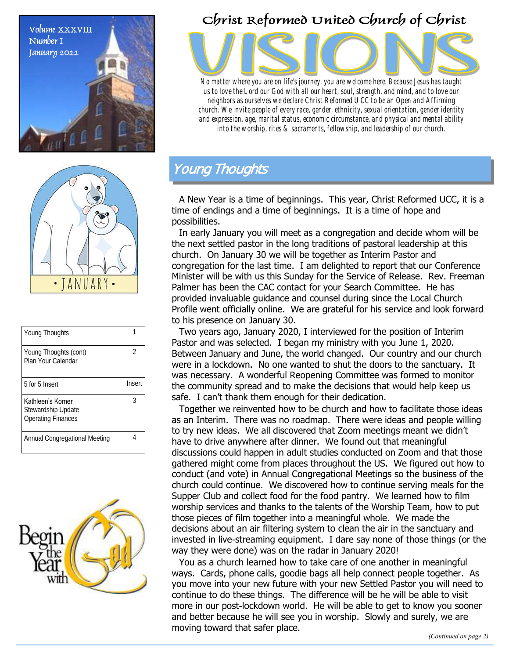



| Young Thoughts                                                       |        |
|----------------------------------------------------------------------|--------|
| Young Thoughts (cont)<br>Plan Your Calendar                          | 2      |
| 5 for 5 Insert                                                       | Insert |
| Kathleen's Korner<br>Stewardship Update<br><b>Operating Finances</b> | 3      |
| Annual Congregational Meeting                                        |        |



## Christ Reformed United Church of Christ



*No matter where you are on life's journey, you are welcome here. Because Jesus has taught us to love the Lord our God with all our heart, soul, strength, and mind, and to love our neighbors as ourselves we declare Christ Reformed UCC to be an Open and Affirming church. We invite people of every race, gender, ethnicity, sexual orientation, gender identity and expression, age, marital status, economic circumstance, and physical and mental ability into the worship, rites & sacraments, fellowship, and leadership of our church.*

## Young Thoughts

A New Year is a time of beginnings. This year, Christ Reformed UCC, it is a time of endings and a time of beginnings. It is a time of hope and possibilities.

In early January you will meet as a congregation and decide whom will be the next settled pastor in the long traditions of pastoral leadership at this church. On January 30 we will be together as Interim Pastor and congregation for the last time. I am delighted to report that our Conference Minister will be with us this Sunday for the Service of Release. Rev. Freeman Palmer has been the CAC contact for your Search Committee. He has provided invaluable guidance and counsel during since the Local Church Profile went officially online. We are grateful for his service and look forward to his presence on January 30.

Two years ago, January 2020, I interviewed for the position of Interim Pastor and was selected. I began my ministry with you June 1, 2020. Between January and June, the world changed. Our country and our church were in a lockdown. No one wanted to shut the doors to the sanctuary. It was necessary. A wonderful Reopening Committee was formed to monitor the community spread and to make the decisions that would help keep us safe. I can't thank them enough for their dedication.

Together we reinvented how to be church and how to facilitate those ideas as an Interim. There was no roadmap. There were ideas and people willing to try new ideas. We all discovered that Zoom meetings meant we didn't have to drive anywhere after dinner. We found out that meaningful discussions could happen in adult studies conducted on Zoom and that those gathered might come from places throughout the US. We figured out how to conduct (and vote) in Annual Congregational Meetings so the business of the church could continue. We discovered how to continue serving meals for the Supper Club and collect food for the food pantry. We learned how to film worship services and thanks to the talents of the Worship Team, how to put those pieces of film together into a meaningful whole. We made the decisions about an air filtering system to clean the air in the sanctuary and invested in live-streaming equipment. I dare say none of those things (or the way they were done) was on the radar in January 2020!

You as a church learned how to take care of one another in meaningful ways. Cards, phone calls, goodie bags all help connect people together. As you move into your new future with your new Settled Pastor you will need to continue to do these things. The difference will be he will be able to visit more in our post-lockdown world. He will be able to get to know you sooner and better because he will see you in worship. Slowly and surely, we are moving toward that safer place.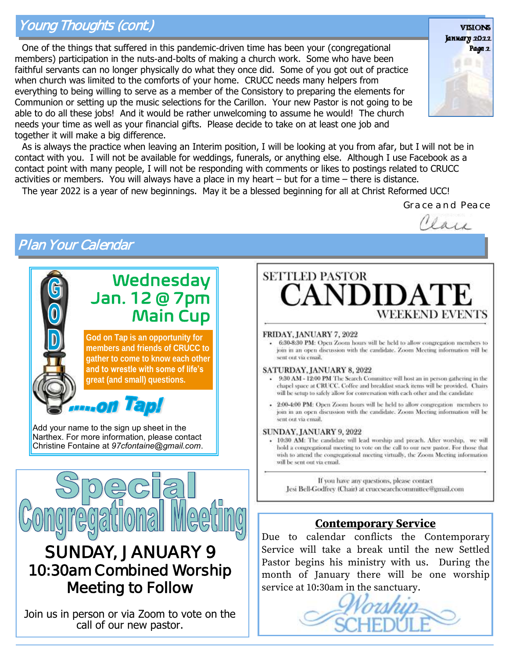## Young Thoughts (cont.)

One of the things that suffered in this pandemic-driven time has been your (congregational members) participation in the nuts-and-bolts of making a church work. Some who have been faithful servants can no longer physically do what they once did. Some of you got out of practice when church was limited to the comforts of your home. CRUCC needs many helpers from everything to being willing to serve as a member of the Consistory to preparing the elements for Communion or setting up the music selections for the Carillon. Your new Pastor is not going to be able to do all these jobs! And it would be rather unwelcoming to assume he would! The church needs your time as well as your financial gifts. Please decide to take on at least one job and together it will make a big difference.



As is always the practice when leaving an Interim position, I will be looking at you from afar, but I will not be in contact with you. I will not be available for weddings, funerals, or anything else. Although I use Facebook as a contact point with many people, I will not be responding with comments or likes to postings related to CRUCC activities or members. You will always have a place in my heart – but for a time – there is distance.

The year 2022 is a year of new beginnings. May it be a blessed beginning for all at Christ Reformed UCC!

*Grace and Peace*

Clare

# Plan Your Calendar



Join us in person or via Zoom to vote on the call of our new pastor.



#### FRIDAY, JANUARY 7, 2022

6:30-8:30 PM: Open Zoom hours will be held to allow congregation members to join in an open discussion with the candidate. Zoom Meeting information will be sent out via email.

#### SATURDAY, JANUARY 8, 2022

- . 9:30 AM 12:00 PM The Search Committee will host an in person gathering in the chapel space at CRUCC. Coffee and breakfast snack items will be provided. Chairs will be setup to safely allow for conversation with each other and the candidate
- 2:00-4:00 PM: Open Zoom bours will be held to allow congregation members to join in an open discussion with the candidate. Zoom Meeting information will be sent out via email.

#### SUNDAY, JANUARY 9, 2022

- 10:30 AM: The candidate will lead worship and preach. After worship, we will hold a congregational meeting to vote on the call to our new pastor. For those that wish to attend the congregational meeting virtually, the Zoom Meeting information will be sent out via email.

If you have any questions, please contact Jesi Bell-Godfrey (Chair) at cruccsearchcommittee@gmail.com

#### **Contemporary Service**

Due to calendar conflicts the Contemporary Service will take a break until the new Settled Pastor begins his ministry with us. During the month of January there will be one worship service at 10:30am in the sanctuary.

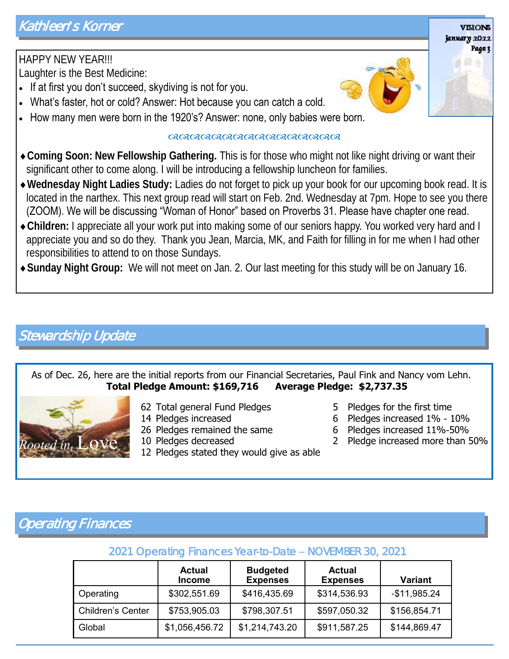### HAPPY NEW YEAR!!! Laughter is the Best Medicine:

- If at first you don't succeed, skydiving is not for you.
- What's faster, hot or cold? Answer: Hot because you can catch a cold.
- How many men were born in the 1920's? Answer: none, only babies were born.

#### 

- **Coming Soon: New Fellowship Gathering.** This is for those who might not like night driving or want their significant other to come along. I will be introducing a fellowship luncheon for families.
- **Wednesday Night Ladies Study:** Ladies do not forget to pick up your book for our upcoming book read. It is located in the narthex. This next group read will start on Feb. 2nd. Wednesday at 7pm. Hope to see you there (ZOOM). We will be discussing "Woman of Honor" based on Proverbs 31. Please have chapter one read.
- **Children:** I appreciate all your work put into making some of our seniors happy. You worked very hard and I appreciate you and so do they. Thank you Jean, Marcia, MK, and Faith for filling in for me when I had other responsibilities to attend to on those Sundays.
- **Sunday Night Group:** We will not meet on Jan. 2. Our last meeting for this study will be on January 16.

# Stewardship Update

### As of Dec. 26, here are the initial reports from our Financial Secretaries, Paul Fink and Nancy vom Lehn. **Total Pledge Amount: \$169,716 Average Pledge: \$2,737.35**



- 62 Total general Fund Pledges
- 14 Pledges increased
- 26 Pledges remained the same
- 10 Pledges decreased
- 12 Pledges stated they would give as able
- 5 Pledges for the first time
- 6 Pledges increased 1% 10%
- 6 Pledges increased 11%-50%
- $Rooted in$  LOVE  $\,$  10 Pledges decreased  $\,$   $\,$  2 Pledge increased more than 50%

# Operating Finances

### 2021 Operating Finances Year-to-Date – NOVEMBER 30, 2021

|                          | <b>Actual</b><br><b>Income</b> | <b>Budgeted</b><br><b>Expenses</b> | <b>Actual</b><br><b>Expenses</b> | <b>Variant</b> |
|--------------------------|--------------------------------|------------------------------------|----------------------------------|----------------|
| Operating                | \$302,551.69                   | \$416,435.69                       | \$314,536.93                     | $-$11,985.24$  |
| <b>Children's Center</b> | \$753,905.03                   | \$798,307.51                       | \$597,050.32                     | \$156,854.71   |
| Global                   | \$1,056,456.72                 | \$1,214,743.20                     | \$911,587.25                     | \$144,869.47   |